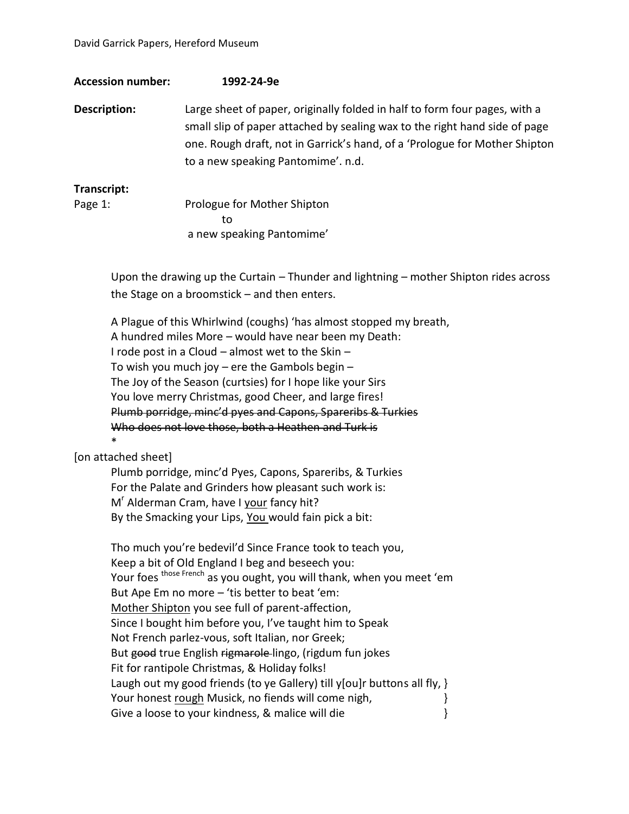| <b>Accession number:</b>                                                                                                                                                                                                             | 1992-24-9e                                                                                                                                                                                                                                                                                                                                                                                                                                                                                                                                                                                                      |
|--------------------------------------------------------------------------------------------------------------------------------------------------------------------------------------------------------------------------------------|-----------------------------------------------------------------------------------------------------------------------------------------------------------------------------------------------------------------------------------------------------------------------------------------------------------------------------------------------------------------------------------------------------------------------------------------------------------------------------------------------------------------------------------------------------------------------------------------------------------------|
| <b>Description:</b>                                                                                                                                                                                                                  | Large sheet of paper, originally folded in half to form four pages, with a<br>small slip of paper attached by sealing wax to the right hand side of page<br>one. Rough draft, not in Garrick's hand, of a 'Prologue for Mother Shipton<br>to a new speaking Pantomime'. n.d.                                                                                                                                                                                                                                                                                                                                    |
| Transcript:<br>Page 1:                                                                                                                                                                                                               | Prologue for Mother Shipton<br>to<br>a new speaking Pantomime'                                                                                                                                                                                                                                                                                                                                                                                                                                                                                                                                                  |
|                                                                                                                                                                                                                                      | Upon the drawing up the Curtain – Thunder and lightning – mother Shipton rides across<br>the Stage on a broomstick $-$ and then enters.                                                                                                                                                                                                                                                                                                                                                                                                                                                                         |
| *                                                                                                                                                                                                                                    | A Plague of this Whirlwind (coughs) 'has almost stopped my breath,<br>A hundred miles More - would have near been my Death:<br>I rode post in a Cloud - almost wet to the Skin -<br>To wish you much joy $-$ ere the Gambols begin $-$<br>The Joy of the Season (curtsies) for I hope like your Sirs<br>You love merry Christmas, good Cheer, and large fires!<br>Plumb porridge, minc'd pyes and Capons, Spareribs & Turkies<br>Who does not love those, both a Heathen and Turk is                                                                                                                            |
| [on attached sheet]                                                                                                                                                                                                                  |                                                                                                                                                                                                                                                                                                                                                                                                                                                                                                                                                                                                                 |
| Plumb porridge, minc'd Pyes, Capons, Spareribs, & Turkies<br>For the Palate and Grinders how pleasant such work is:<br>M <sup>r</sup> Alderman Cram, have I your fancy hit?<br>By the Smacking your Lips, You would fain pick a bit: |                                                                                                                                                                                                                                                                                                                                                                                                                                                                                                                                                                                                                 |
|                                                                                                                                                                                                                                      | Tho much you're bedevil'd Since France took to teach you,<br>Keep a bit of Old England I beg and beseech you:<br>Your foes <sup>those French</sup> as you ought, you will thank, when you meet 'em<br>But Ape Em no more - 'tis better to beat 'em:<br>Mother Shipton you see full of parent-affection,<br>Since I bought him before you, I've taught him to Speak<br>Not French parlez-vous, soft Italian, nor Greek;<br>But good true English rigmarole-lingo, (rigdum fun jokes<br>Fit for rantipole Christmas, & Holiday folks!<br>Laugh out my good friends (to ye Gallery) till y[ou]r buttons all fly, } |

- 
- Your honest <u>rough</u> Musick, no fiends will come nigh,<br>Give a loose to your kindness, & malice will die  $\}$ Give a loose to your kindness, & malice will die }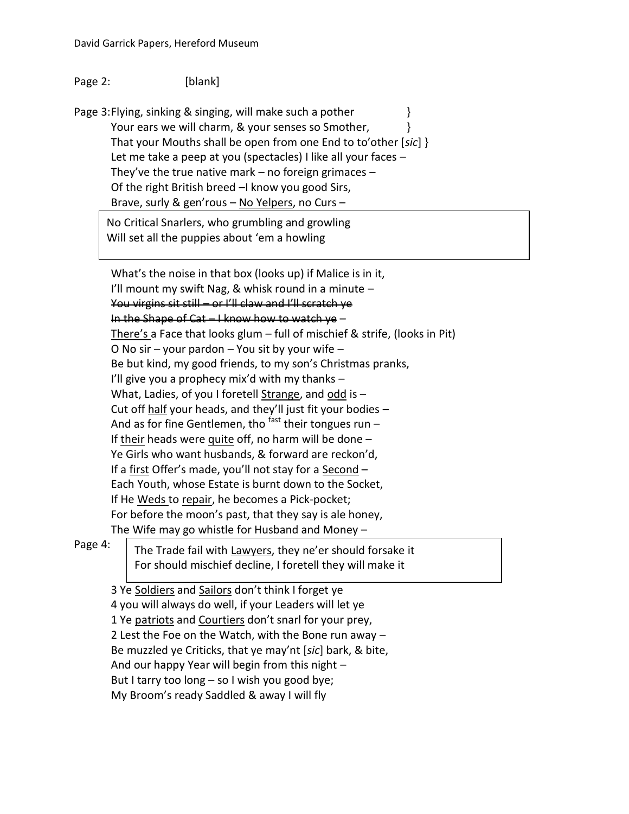## Page 2: [blank]

Page 3: Flying, sinking & singing, will make such a pother  $\}$ Your ears we will charm, & your senses so Smother,  $\{\}$ That your Mouths shall be open from one End to to'other [*sic*] } Let me take a peep at you (spectacles) I like all your faces – They've the true native mark – no foreign grimaces – Of the right British breed –I know you good Sirs, Brave, surly & gen'rous - No Yelpers, no Curs -

No Critical Snarlers, who grumbling and growling Will set all the puppies about 'em a howling

What's the noise in that box (looks up) if Malice is in it, I'll mount my swift Nag, & whisk round in a minute  $-$ You virgins sit still – or I'll claw and I'll scratch ye In the Shape of Cat – I know how to watch ye – There's a Face that looks glum – full of mischief & strife, (looks in Pit) O No sir – your pardon – You sit by your wife – Be but kind, my good friends, to my son's Christmas pranks, I'll give you a prophecy mix'd with my thanks – What, Ladies, of you I foretell Strange, and odd is – Cut off half your heads, and they'll just fit your bodies – And as for fine Gentlemen, tho  $^{fast}$  their tongues run – If their heads were quite off, no harm will be done  $-$ Ye Girls who want husbands, & forward are reckon'd, If a first Offer's made, you'll not stay for a Second -Each Youth, whose Estate is burnt down to the Socket, If He Weds to repair, he becomes a Pick-pocket; For before the moon's past, that they say is ale honey, The Wife may go whistle for Husband and Money –

Page 4:

The Trade fail with Lawyers, they ne'er should forsake it For should mischief decline, I foretell they will make it

3 Ye Soldiers and Sailors don't think I forget ye 4 you will always do well, if your Leaders will let ye 1 Ye patriots and Courtiers don't snarl for your prey, 2 Lest the Foe on the Watch, with the Bone run away – Be muzzled ye Criticks, that ye may'nt [*sic*] bark, & bite, And our happy Year will begin from this night – But I tarry too long – so I wish you good bye; My Broom's ready Saddled & away I will fly